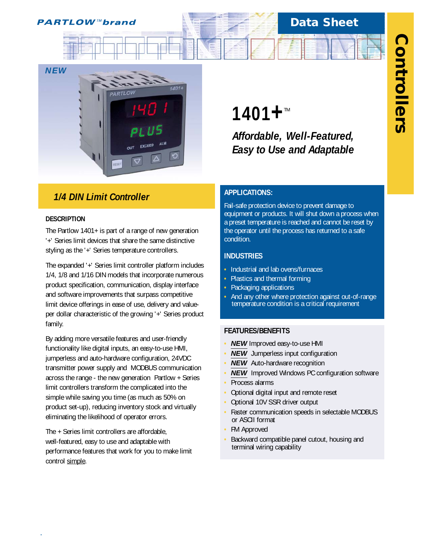# **Data Sheet**



# *1/4 DIN Limit Controller*

#### **DESCRIPTION**

*.*

The Partlow 1401+ is part of a range of new generation '+' Series limit devices that share the same distinctive styling as the '+' Series temperature controllers.

The expanded '+' Series limit controller platform includes 1/4, 1/8 and 1/16 DIN models that incorporate numerous product specification, communication, display interface and software improvements that surpass competitive limit device offerings in ease of use, delivery and valueper dollar characteristic of the growing '+' Series product family.

By adding more versatile features and user-friendly functionality like digital inputs, an easy-to-use HMI, jumperless and auto-hardware configuration, 24VDC transmitter power supply and MODBUS communication across the range - the new generation Partlow + Series limit controllers transform the complicated into the simple while saving you time (as much as 50% on product set-up), reducing inventory stock and virtually eliminating the likelihood of operator errors.

The + Series limit controllers are affordable, well-featured, easy to use and adaptable with performance features that work for you to make limit control simple.

# **1401+**™

*Affordable, Well-Featured, Easy to Use and Adaptable*

### **APPLICATIONS:**

Fail-safe protection device to prevent damage to equipment or products. It will shut down a process when a preset temperature is reached and cannot be reset by the operator until the process has returned to a safe condition.

#### **INDUSTRIES**

- **•** Industrial and lab ovens/furnaces
- **•** Plastics and thermal forming
- **•** Packaging applications
- **•** And any other where protection against out-of-range temperature condition is a critical requirement

#### **FEATURES/BENEFITS**

- **• NEW** Improved easy-to-use HMI
- **• NEW** Jumperless input configuration
- **NEW** Auto-hardware recognition
- **• NEW** Improved Windows PC configuration software
- **•** Process alarms
- **•** Optional digital input and remote reset
- **•** Optional 10V SSR driver output
- **•** Faster communication speeds in selectable MODBUS or ASCII format
- **•** FM Approved
- **•** Backward compatible panel cutout, housing and terminal wiring capability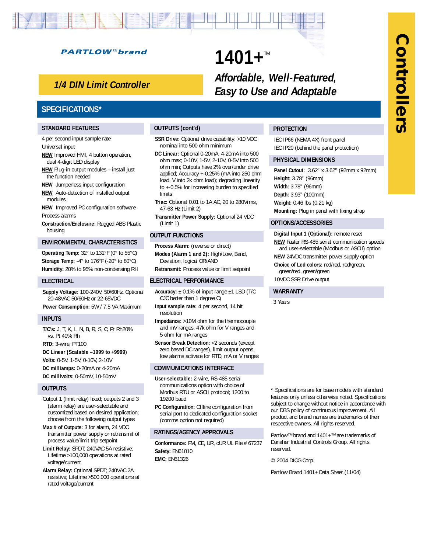# **Controllers Controllers**

#### **PARTLOW™brand**

# *1/4 DIN Limit Controller*

### **SPECIFICATIONS\***

#### **STANDARD FEATURES**

4 per second input sample rate Universal input

- **NEW** Improved HMI, 4 button operation, dual 4-digit LED display
- **NEW** Plug-in output modules install just the function needed
- **NEW** Jumperless input configuration
- **NEW** Auto-detection of installed output modules

**NEW** Improved PC configuration software Process alarms

**Construction/Enclosure:** Rugged ABS Plastic housing

#### **ENVIRONMENTAL CHARACTERISTICS**

**Operating Temp:** 32° to 131°F (0° to 55°C) **Storage Temp:** -4° to 176°F (-20° to 80°C) **Humidity:** 20% to 95% non-condensing RH

#### **ELECTRICAL**

**Supply Voltage:** 100-240V, 50/60Hz, Optional 20-48VAC 50/60Hz or 22-65VDC **Power Consumption:** 5W / 7.5 VA Maximum

#### **INPUTS**

**T/C's:** J, T, K, L, N, B, R, S, C; Pt Rh20% vs. Pt 40% Rh

**RTD:** 3-wire, PT100

**DC Linear (Scalable –1999 to +9999)**

**Volts:** 0-5V, 1-5V, 0-10V, 2-10V

**DC milliamps:** 0-20mA or 4-20mA **DC millivolts:** 0-50mV, 10-50mV

#### **OUTPUTS**

Output 1 (limit relay) fixed; outputs 2 and 3 (alarm relay) are user-selectable and customized based on desired application; choose from the following output types

- **Max # of Outputs:** 3 for alarm, 24 VDC transmitter power supply or retransmit of process value/limit trip setpoint
- **Limit Relay:** SPDT; 240VAC 5A resistive; Lifetime >100,000 operations at rated voltage/current
- **Alarm Relay:** Optional SPDT; 240VAC 2A resistive; Lifetime >500,000 operations at rated voltage/current

#### **OUTPUTS (cont'd)**

**SSR Drive:** Optional drive capability: >10 VDC nominal into 500 ohm minimum

1401+™

- **DC Linear:** Optional 0-20mA, 4-20mA into 500 ohm max; 0-10V, 1-5V, 2-10V, 0-5V into 500 ohm min; Outputs have 2% over/under drive applied; Accuracy +-0.25% (mA into 250 ohm load, V into 2k ohm load); degrading linearity to +-0.5% for increasing burden to specified limits
- **Triac:** Optional 0.01 to 1A AC, 20 to 280Vrms, 47-63 Hz (Limit 2)
- **Transmitter Power Supply:** Optional 24 VDC (Limit 1)

#### **OUTPUT FUNCTIONS**

**Process Alarm:** (reverse or direct) **Modes (Alarm 1 and 2):** High/Low, Band, Deviation, logical OR/AND

**Retransmit:** Process value or limit setpoint

#### **ELECTRICAL PERFORMANCE**

- **Accuracy:** ± 0.1% of input range ±1 LSD (T/C CJC better than 1 degree C)
- **Input sample rate:** 4 per second, 14 bit resolution
- **Impedance:** >10M ohm for the thermocouple and mV ranges, 47k ohm for V ranges and 5 ohm for mA ranges
- **Sensor Break Detection:** <2 seconds (except zero based DC ranges), limit output opens, low alarms activate for RTD, mA or V ranges

#### **COMMUNICATIONS INTERFACE**

- **User-selectable:** 2-wire, RS-485 serial communications option with choice of Modbus RTU or ASCII protocol; 1200 to 19200 baud
- **PC Configuration:** Offline configuration from serial port to dedicated configuration socket (comms option not required)

#### **RATINGS/AGENCY APPROVALS**

**Conformance:** FM, CE, UR, cUR UL File # 67237 **Safety:** EN61010 **EMC:** EN61326

\* Specifications are for base models with standard features only unless otherwise noted. Specifications subject to change without notice in accordance with our DBS policy of continuous improvement. All product and brand names are trademarks of their respective owners. All rights reserved.

Partlow™ brand and 1401+™ are trademarks of Danaher Industrial Controls Group. All rights reserved.

© 2004 DICG Corp.

Partlow Brand 1401+ Data Sheet (11/04)

#### **PROTECTION**

*Affordable, Well-Featured, Easy to Use and Adaptable*

> IEC IP66 (NEMA 4X) front panel IEC IP20 (behind the panel protection)

#### **PHYSICAL DIMENSIONS**

**Panel Cutout:** 3.62" x 3.62" (92mm x 92mm) **Height:** 3.78" (96mm) **Width:** 3.78" (96mm) **Depth:** 3.93" (100mm) **Weight:** 0.46 lbs (0.21 kg) **Mounting:** Plug in panel with fixing strap

#### **OPTIONS/ACCESSORIES**

**Digital Input 1 (Optional):** remote reset **NEW** Faster RS-485 serial communication speeds and user-selectable (Modbus or ASCII) option **NEW** 24VDC transmitter power supply option **Choice of Led colors:** red/red, red/green, green/red, green/green 10VDC SSR Drive output

#### **WARRANTY**

3 Years